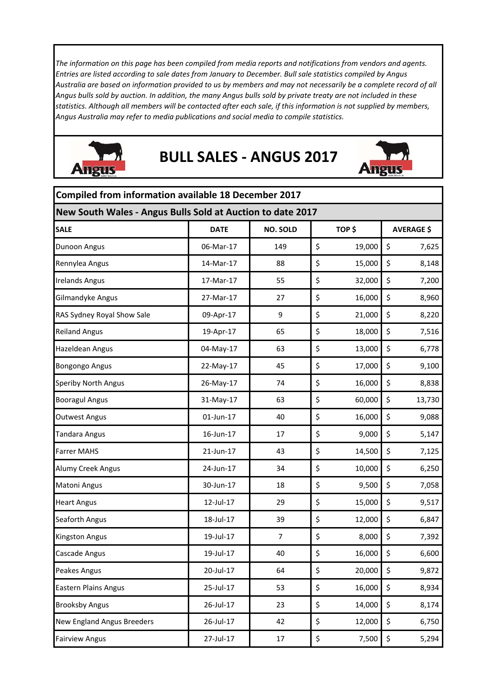*The information on this page has been compiled from media reports and notifications from vendors and agents. Entries are listed according to sale dates from January to December. Bull sale statistics compiled by Angus Australia are based on information provided to us by members and may not necessarily be a complete record of all Angus bulls sold by auction. In addition, the many Angus bulls sold by private treaty are not included in these statistics. Although all members will be contacted after each sale, if this information is not supplied by members, Angus Australia may refer to media publications and social media to compile statistics.* 



## **BULL SALES ‐ ANGUS 2017**



| <b>Compiled from information available 18 December 2017</b> |             |                 |    |        |    |                   |  |
|-------------------------------------------------------------|-------------|-----------------|----|--------|----|-------------------|--|
| New South Wales - Angus Bulls Sold at Auction to date 2017  |             |                 |    |        |    |                   |  |
| <b>SALE</b>                                                 | <b>DATE</b> | <b>NO. SOLD</b> |    | TOP\$  |    | <b>AVERAGE \$</b> |  |
| Dunoon Angus                                                | 06-Mar-17   | 149             | \$ | 19,000 | \$ | 7,625             |  |
| Rennylea Angus                                              | 14-Mar-17   | 88              | \$ | 15,000 | \$ | 8,148             |  |
| <b>Irelands Angus</b>                                       | 17-Mar-17   | 55              | \$ | 32,000 | \$ | 7,200             |  |
| Gilmandyke Angus                                            | 27-Mar-17   | 27              | \$ | 16,000 | \$ | 8,960             |  |
| RAS Sydney Royal Show Sale                                  | 09-Apr-17   | 9               | \$ | 21,000 | \$ | 8,220             |  |
| <b>Reiland Angus</b>                                        | 19-Apr-17   | 65              | \$ | 18,000 | \$ | 7,516             |  |
| Hazeldean Angus                                             | 04-May-17   | 63              | \$ | 13,000 | \$ | 6,778             |  |
| <b>Bongongo Angus</b>                                       | 22-May-17   | 45              | \$ | 17,000 | \$ | 9,100             |  |
| <b>Speriby North Angus</b>                                  | 26-May-17   | 74              | \$ | 16,000 | \$ | 8,838             |  |
| <b>Booragul Angus</b>                                       | 31-May-17   | 63              | \$ | 60,000 | \$ | 13,730            |  |
| <b>Outwest Angus</b>                                        | 01-Jun-17   | 40              | \$ | 16,000 | \$ | 9,088             |  |
| <b>Tandara Angus</b>                                        | 16-Jun-17   | 17              | \$ | 9,000  | \$ | 5,147             |  |
| Farrer MAHS                                                 | 21-Jun-17   | 43              | \$ | 14,500 | \$ | 7,125             |  |
| Alumy Creek Angus                                           | 24-Jun-17   | 34              | \$ | 10,000 | \$ | 6,250             |  |
| Matoni Angus                                                | 30-Jun-17   | 18              | \$ | 9,500  | \$ | 7,058             |  |
| <b>Heart Angus</b>                                          | 12-Jul-17   | 29              | \$ | 15,000 | \$ | 9,517             |  |
| Seaforth Angus                                              | 18-Jul-17   | 39              | \$ | 12,000 | \$ | 6,847             |  |
| <b>Kingston Angus</b>                                       | 19-Jul-17   | $\overline{7}$  | \$ | 8,000  | \$ | 7,392             |  |
| Cascade Angus                                               | 19-Jul-17   | 40              | \$ | 16,000 | \$ | 6,600             |  |
| Peakes Angus                                                | 20-Jul-17   | 64              | \$ | 20,000 | \$ | 9,872             |  |
| <b>Eastern Plains Angus</b>                                 | 25-Jul-17   | 53              | \$ | 16,000 | \$ | 8,934             |  |
| <b>Brooksby Angus</b>                                       | 26-Jul-17   | 23              | \$ | 14,000 | \$ | 8,174             |  |
| New England Angus Breeders                                  | 26-Jul-17   | 42              | \$ | 12,000 | \$ | 6,750             |  |
| <b>Fairview Angus</b>                                       | 27-Jul-17   | 17              | \$ | 7,500  | \$ | 5,294             |  |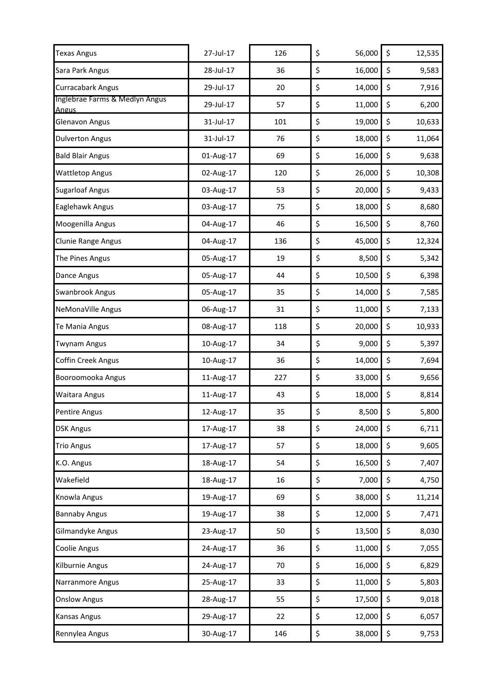| <b>Texas Angus</b>                             | 27-Jul-17 | 126 | \$<br>56,000 | \$<br>12,535 |
|------------------------------------------------|-----------|-----|--------------|--------------|
| Sara Park Angus                                | 28-Jul-17 | 36  | \$<br>16,000 | \$<br>9,583  |
| <b>Curracabark Angus</b>                       | 29-Jul-17 | 20  | \$<br>14,000 | \$<br>7,916  |
| Inglebrae Farms & Medlyn Angus<br><b>Angus</b> | 29-Jul-17 | 57  | \$<br>11,000 | \$<br>6,200  |
| <b>Glenavon Angus</b>                          | 31-Jul-17 | 101 | \$<br>19,000 | \$<br>10,633 |
| <b>Dulverton Angus</b>                         | 31-Jul-17 | 76  | \$<br>18,000 | \$<br>11,064 |
| <b>Bald Blair Angus</b>                        | 01-Aug-17 | 69  | \$<br>16,000 | \$<br>9,638  |
| <b>Wattletop Angus</b>                         | 02-Aug-17 | 120 | \$<br>26,000 | \$<br>10,308 |
| <b>Sugarloaf Angus</b>                         | 03-Aug-17 | 53  | \$<br>20,000 | \$<br>9,433  |
| Eaglehawk Angus                                | 03-Aug-17 | 75  | \$<br>18,000 | \$<br>8,680  |
| Moogenilla Angus                               | 04-Aug-17 | 46  | \$<br>16,500 | \$<br>8,760  |
| Clunie Range Angus                             | 04-Aug-17 | 136 | \$<br>45,000 | \$<br>12,324 |
| The Pines Angus                                | 05-Aug-17 | 19  | \$<br>8,500  | \$<br>5,342  |
| Dance Angus                                    | 05-Aug-17 | 44  | \$<br>10,500 | \$<br>6,398  |
| Swanbrook Angus                                | 05-Aug-17 | 35  | \$<br>14,000 | \$<br>7,585  |
| NeMonaVille Angus                              | 06-Aug-17 | 31  | \$<br>11,000 | \$<br>7,133  |
| Te Mania Angus                                 | 08-Aug-17 | 118 | \$<br>20,000 | \$<br>10,933 |
| <b>Twynam Angus</b>                            | 10-Aug-17 | 34  | \$<br>9,000  | \$<br>5,397  |
| <b>Coffin Creek Angus</b>                      | 10-Aug-17 | 36  | \$<br>14,000 | \$<br>7,694  |
| Booroomooka Angus                              | 11-Aug-17 | 227 | \$<br>33,000 | \$<br>9,656  |
| Waitara Angus                                  | 11-Aug-17 | 43  | \$<br>18,000 | \$<br>8,814  |
| <b>Pentire Angus</b>                           | 12-Aug-17 | 35  | \$<br>8,500  | \$<br>5,800  |
| <b>DSK Angus</b>                               | 17-Aug-17 | 38  | \$<br>24,000 | \$<br>6,711  |
| <b>Trio Angus</b>                              | 17-Aug-17 | 57  | \$<br>18,000 | \$<br>9,605  |
| K.O. Angus                                     | 18-Aug-17 | 54  | \$<br>16,500 | \$<br>7,407  |
| Wakefield                                      | 18-Aug-17 | 16  | \$<br>7,000  | \$<br>4,750  |
| Knowla Angus                                   | 19-Aug-17 | 69  | \$<br>38,000 | \$<br>11,214 |
| <b>Bannaby Angus</b>                           | 19-Aug-17 | 38  | \$<br>12,000 | \$<br>7,471  |
| Gilmandyke Angus                               | 23-Aug-17 | 50  | \$<br>13,500 | \$<br>8,030  |
| Coolie Angus                                   | 24-Aug-17 | 36  | \$<br>11,000 | \$<br>7,055  |
| Kilburnie Angus                                | 24-Aug-17 | 70  | \$<br>16,000 | \$<br>6,829  |
| Narranmore Angus                               | 25-Aug-17 | 33  | \$<br>11,000 | \$<br>5,803  |
| <b>Onslow Angus</b>                            | 28-Aug-17 | 55  | \$<br>17,500 | \$<br>9,018  |
| Kansas Angus                                   | 29-Aug-17 | 22  | \$<br>12,000 | \$<br>6,057  |
| Rennylea Angus                                 | 30-Aug-17 | 146 | \$<br>38,000 | \$<br>9,753  |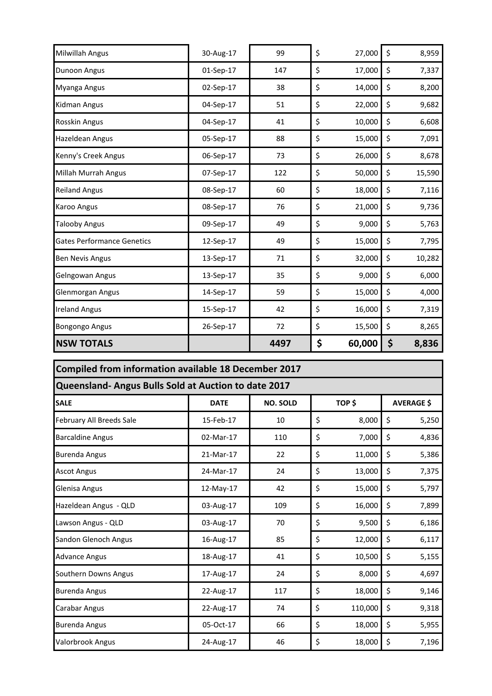| Milwillah Angus                   | 30-Aug-17 | 99   | \$<br>27,000 | \$<br>8,959  |
|-----------------------------------|-----------|------|--------------|--------------|
| <b>Dunoon Angus</b>               | 01-Sep-17 | 147  | \$<br>17,000 | \$<br>7,337  |
| Myanga Angus                      | 02-Sep-17 | 38   | \$<br>14,000 | \$<br>8,200  |
| Kidman Angus                      | 04-Sep-17 | 51   | \$<br>22,000 | \$<br>9,682  |
| Rosskin Angus                     | 04-Sep-17 | 41   | \$<br>10,000 | \$<br>6,608  |
| Hazeldean Angus                   | 05-Sep-17 | 88   | \$<br>15,000 | \$<br>7,091  |
| Kenny's Creek Angus               | 06-Sep-17 | 73   | \$<br>26,000 | \$<br>8,678  |
| Millah Murrah Angus               | 07-Sep-17 | 122  | \$<br>50,000 | \$<br>15,590 |
| <b>Reiland Angus</b>              | 08-Sep-17 | 60   | \$<br>18,000 | \$<br>7,116  |
| <b>Karoo Angus</b>                | 08-Sep-17 | 76   | \$<br>21,000 | \$<br>9,736  |
| <b>Talooby Angus</b>              | 09-Sep-17 | 49   | \$<br>9,000  | \$<br>5,763  |
| <b>Gates Performance Genetics</b> | 12-Sep-17 | 49   | \$<br>15,000 | \$<br>7,795  |
| <b>Ben Nevis Angus</b>            | 13-Sep-17 | 71   | \$<br>32,000 | \$<br>10,282 |
| Gelngowan Angus                   | 13-Sep-17 | 35   | \$<br>9,000  | \$<br>6,000  |
| Glenmorgan Angus                  | 14-Sep-17 | 59   | \$<br>15,000 | \$<br>4,000  |
| <b>Ireland Angus</b>              | 15-Sep-17 | 42   | \$<br>16,000 | \$<br>7,319  |
| <b>Bongongo Angus</b>             | 26-Sep-17 | 72   | \$<br>15,500 | \$<br>8,265  |
| <b>NSW TOTALS</b>                 |           | 4497 | \$<br>60,000 | \$<br>8,836  |

| <b>Compiled from information available 18 December 2017</b> |                                                      |                 |    |         |    |                   |  |  |
|-------------------------------------------------------------|------------------------------------------------------|-----------------|----|---------|----|-------------------|--|--|
|                                                             | Queensland- Angus Bulls Sold at Auction to date 2017 |                 |    |         |    |                   |  |  |
| <b>SALE</b>                                                 | <b>DATE</b>                                          | <b>NO. SOLD</b> |    | TOP\$   |    | <b>AVERAGE \$</b> |  |  |
| February All Breeds Sale                                    | 15-Feb-17                                            | 10              | \$ | 8,000   | \$ | 5,250             |  |  |
| <b>Barcaldine Angus</b>                                     | 02-Mar-17                                            | 110             | \$ | 7,000   | \$ | 4,836             |  |  |
| <b>Burenda Angus</b>                                        | 21-Mar-17                                            | 22              | \$ | 11,000  | \$ | 5,386             |  |  |
| <b>Ascot Angus</b>                                          | 24-Mar-17                                            | 24              | \$ | 13,000  | \$ | 7,375             |  |  |
| Glenisa Angus                                               | 12-May-17                                            | 42              | \$ | 15,000  | \$ | 5,797             |  |  |
| Hazeldean Angus - QLD                                       | 03-Aug-17                                            | 109             | \$ | 16,000  | \$ | 7,899             |  |  |
| Lawson Angus - QLD                                          | 03-Aug-17                                            | 70              | \$ | 9,500   | \$ | 6,186             |  |  |
| Sandon Glenoch Angus                                        | 16-Aug-17                                            | 85              | \$ | 12,000  | \$ | 6,117             |  |  |
| <b>Advance Angus</b>                                        | 18-Aug-17                                            | 41              | \$ | 10,500  | \$ | 5,155             |  |  |
| Southern Downs Angus                                        | 17-Aug-17                                            | 24              | \$ | 8,000   | \$ | 4,697             |  |  |
| <b>Burenda Angus</b>                                        | 22-Aug-17                                            | 117             | \$ | 18,000  | \$ | 9,146             |  |  |
| Carabar Angus                                               | 22-Aug-17                                            | 74              | \$ | 110,000 | \$ | 9,318             |  |  |
| <b>Burenda Angus</b>                                        | 05-Oct-17                                            | 66              | \$ | 18,000  | \$ | 5,955             |  |  |
| Valorbrook Angus                                            | 24-Aug-17                                            | 46              | \$ | 18,000  | \$ | 7,196             |  |  |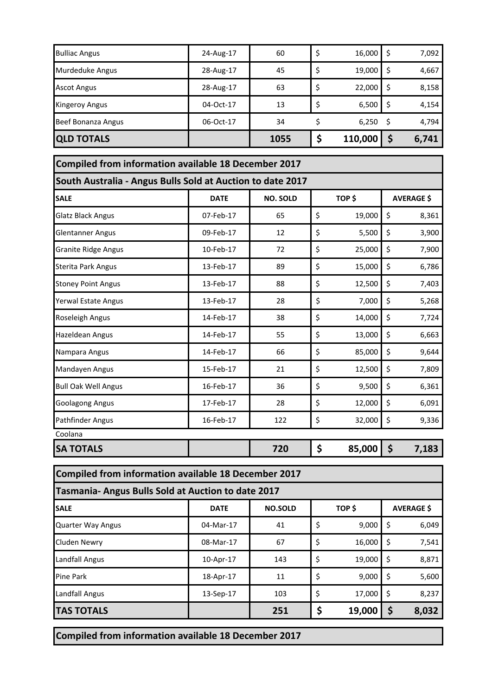| <b>Beef Bonanza Angus</b><br><b>QLD TOTALS</b> | 06-Oct-17 | 34<br>1055 | 6,250<br>110,000 | 4,794<br>6,741 |
|------------------------------------------------|-----------|------------|------------------|----------------|
| <b>Kingeroy Angus</b>                          | 04-Oct-17 | 13         | 6,500            | 4,154          |
| <b>Ascot Angus</b>                             | 28-Aug-17 | 63         | 22,000           | 8,158          |
| <b>Murdeduke Angus</b>                         | 28-Aug-17 | 45         | 19,000           | \$<br>4,667    |
| <b>Bulliac Angus</b>                           | 24-Aug-17 | 60         | 16,000           | 7,092          |

| <b>Compiled from information available 18 December 2017</b> |             |                 |    |        |    |                   |  |
|-------------------------------------------------------------|-------------|-----------------|----|--------|----|-------------------|--|
| South Australia - Angus Bulls Sold at Auction to date 2017  |             |                 |    |        |    |                   |  |
| <b>SALE</b>                                                 | <b>DATE</b> | <b>NO. SOLD</b> |    | TOP \$ |    | <b>AVERAGE \$</b> |  |
| <b>Glatz Black Angus</b>                                    | 07-Feb-17   | 65              | \$ | 19,000 | \$ | 8,361             |  |
| <b>Glentanner Angus</b>                                     | 09-Feb-17   | 12              | \$ | 5,500  | \$ | 3,900             |  |
| <b>Granite Ridge Angus</b>                                  | 10-Feb-17   | 72              | \$ | 25,000 | \$ | 7,900             |  |
| <b>Sterita Park Angus</b>                                   | 13-Feb-17   | 89              | \$ | 15,000 | \$ | 6,786             |  |
| <b>Stoney Point Angus</b>                                   | 13-Feb-17   | 88              | \$ | 12,500 | \$ | 7,403             |  |
| Yerwal Estate Angus                                         | 13-Feb-17   | 28              | \$ | 7,000  | \$ | 5,268             |  |
| Roseleigh Angus                                             | 14-Feb-17   | 38              | \$ | 14,000 | \$ | 7,724             |  |
| Hazeldean Angus                                             | 14-Feb-17   | 55              | \$ | 13,000 | \$ | 6,663             |  |
| Nampara Angus                                               | 14-Feb-17   | 66              | \$ | 85,000 | \$ | 9,644             |  |
| Mandayen Angus                                              | 15-Feb-17   | 21              | \$ | 12,500 | \$ | 7,809             |  |
| <b>Bull Oak Well Angus</b>                                  | 16-Feb-17   | 36              | \$ | 9,500  | \$ | 6,361             |  |
| <b>Goolagong Angus</b>                                      | 17-Feb-17   | 28              | \$ | 12,000 | \$ | 6,091             |  |
| <b>Pathfinder Angus</b>                                     | 16-Feb-17   | 122             | \$ | 32,000 | \$ | 9,336             |  |
| Coolana                                                     |             |                 |    |        |    |                   |  |
| <b>SA TOTALS</b>                                            |             | 720             | \$ | 85,000 | \$ | 7,183             |  |

| Compiled from information available 18 December 2017 |             |                |    |        |     |                   |
|------------------------------------------------------|-------------|----------------|----|--------|-----|-------------------|
| Tasmania-Angus Bulls Sold at Auction to date 2017    |             |                |    |        |     |                   |
| <b>SALE</b>                                          | <b>DATE</b> | <b>NO.SOLD</b> |    | TOP \$ |     | <b>AVERAGE \$</b> |
| <b>Quarter Way Angus</b>                             | 04-Mar-17   | 41             | \$ | 9,000  | \$  | 6,049             |
| Cluden Newry                                         | 08-Mar-17   | 67             | \$ | 16,000 | l\$ | 7,541             |
| Landfall Angus                                       | 10-Apr-17   | 143            | \$ | 19,000 | l\$ | 8,871             |
| <b>Pine Park</b>                                     | 18-Apr-17   | 11             | \$ | 9,000  | -\$ | 5,600             |
| Landfall Angus                                       | 13-Sep-17   | 103            | \$ | 17,000 | \$  | 8,237             |
| <b>TAS TOTALS</b>                                    |             | 251            |    | 19,000 | \$  | 8,032             |

**Compiled from information available 18 December 2017**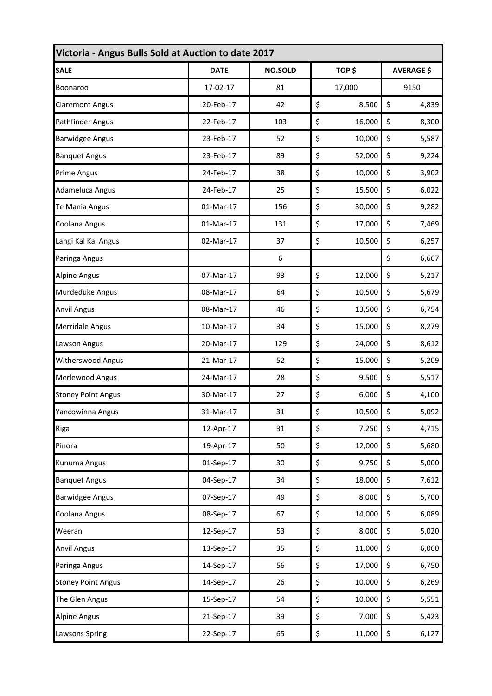| Victoria - Angus Bulls Sold at Auction to date 2017 |             |                |    |        |                   |       |
|-----------------------------------------------------|-------------|----------------|----|--------|-------------------|-------|
| <b>SALE</b>                                         | <b>DATE</b> | <b>NO.SOLD</b> |    | TOP\$  | <b>AVERAGE \$</b> |       |
| Boonaroo                                            | 17-02-17    | 81             |    | 17,000 |                   | 9150  |
| <b>Claremont Angus</b>                              | 20-Feb-17   | 42             | \$ | 8,500  | \$                | 4,839 |
| Pathfinder Angus                                    | 22-Feb-17   | 103            | \$ | 16,000 | \$                | 8,300 |
| <b>Barwidgee Angus</b>                              | 23-Feb-17   | 52             | \$ | 10,000 | \$                | 5,587 |
| <b>Banquet Angus</b>                                | 23-Feb-17   | 89             | \$ | 52,000 | \$                | 9,224 |
| <b>Prime Angus</b>                                  | 24-Feb-17   | 38             | \$ | 10,000 | \$                | 3,902 |
| Adameluca Angus                                     | 24-Feb-17   | 25             | \$ | 15,500 | \$                | 6,022 |
| Te Mania Angus                                      | 01-Mar-17   | 156            | \$ | 30,000 | \$                | 9,282 |
| Coolana Angus                                       | 01-Mar-17   | 131            | \$ | 17,000 | \$                | 7,469 |
| Langi Kal Kal Angus                                 | 02-Mar-17   | 37             | \$ | 10,500 | \$                | 6,257 |
| Paringa Angus                                       |             | 6              |    |        | \$                | 6,667 |
| <b>Alpine Angus</b>                                 | 07-Mar-17   | 93             | \$ | 12,000 | \$                | 5,217 |
| Murdeduke Angus                                     | 08-Mar-17   | 64             | \$ | 10,500 | \$                | 5,679 |
| <b>Anvil Angus</b>                                  | 08-Mar-17   | 46             | \$ | 13,500 | \$                | 6,754 |
| <b>Merridale Angus</b>                              | 10-Mar-17   | 34             | \$ | 15,000 | \$                | 8,279 |
| Lawson Angus                                        | 20-Mar-17   | 129            | \$ | 24,000 | \$                | 8,612 |
| Witherswood Angus                                   | 21-Mar-17   | 52             | \$ | 15,000 | \$                | 5,209 |
| Merlewood Angus                                     | 24-Mar-17   | 28             | \$ | 9,500  | \$                | 5,517 |
| <b>Stoney Point Angus</b>                           | 30-Mar-17   | 27             | \$ | 6,000  | \$                | 4,100 |
| Yancowinna Angus                                    | 31-Mar-17   | 31             | \$ | 10,500 | \$                | 5,092 |
| Riga                                                | 12-Apr-17   | 31             | \$ | 7,250  | \$                | 4,715 |
| Pinora                                              | 19-Apr-17   | 50             | \$ | 12,000 | \$                | 5,680 |
| Kunuma Angus                                        | 01-Sep-17   | 30             | \$ | 9,750  | \$                | 5,000 |
| <b>Banquet Angus</b>                                | 04-Sep-17   | 34             | \$ | 18,000 | \$                | 7,612 |
| <b>Barwidgee Angus</b>                              | 07-Sep-17   | 49             | \$ | 8,000  | \$                | 5,700 |
| Coolana Angus                                       | 08-Sep-17   | 67             | \$ | 14,000 | \$                | 6,089 |
| Weeran                                              | 12-Sep-17   | 53             | \$ | 8,000  | \$                | 5,020 |
| <b>Anvil Angus</b>                                  | 13-Sep-17   | 35             | \$ | 11,000 | \$                | 6,060 |
| Paringa Angus                                       | 14-Sep-17   | 56             | \$ | 17,000 | \$                | 6,750 |
| <b>Stoney Point Angus</b>                           | 14-Sep-17   | 26             | \$ | 10,000 | \$                | 6,269 |
| The Glen Angus                                      | 15-Sep-17   | 54             | \$ | 10,000 | \$                | 5,551 |
| <b>Alpine Angus</b>                                 | 21-Sep-17   | 39             | \$ | 7,000  | \$                | 5,423 |
| <b>Lawsons Spring</b>                               | 22-Sep-17   | 65             | \$ | 11,000 | \$                | 6,127 |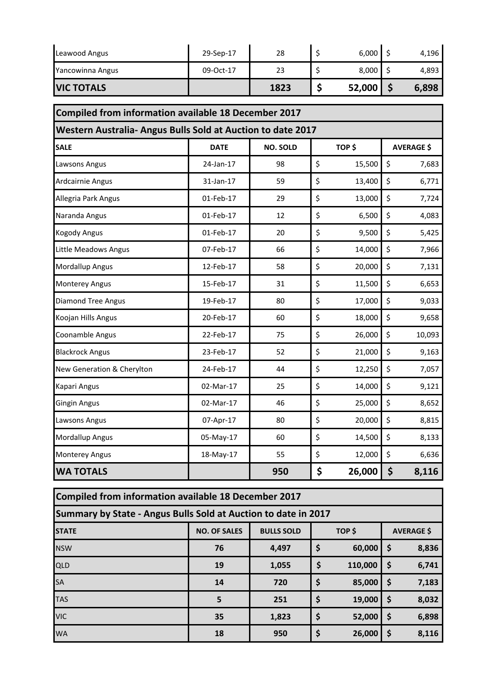| Leawood Angus     | 29-Sep-17 | 28   | 6,000  | 4,196 |
|-------------------|-----------|------|--------|-------|
| Yancowinna Angus  | 09-Oct-17 | 23   | 8,000  | 4,893 |
| <b>VIC TOTALS</b> |           | 1823 | 52,000 | 6,898 |

| Compiled from information available 18 December 2017       |             |                 |    |        |    |                   |
|------------------------------------------------------------|-------------|-----------------|----|--------|----|-------------------|
| Western Australia-Angus Bulls Sold at Auction to date 2017 |             |                 |    |        |    |                   |
| <b>SALE</b>                                                | <b>DATE</b> | <b>NO. SOLD</b> |    | TOP\$  |    | <b>AVERAGE \$</b> |
| Lawsons Angus                                              | 24-Jan-17   | 98              | \$ | 15,500 | \$ | 7,683             |
| Ardcairnie Angus                                           | 31-Jan-17   | 59              | \$ | 13,400 | \$ | 6,771             |
| Allegria Park Angus                                        | 01-Feb-17   | 29              | \$ | 13,000 | \$ | 7,724             |
| Naranda Angus                                              | 01-Feb-17   | 12              | \$ | 6,500  | \$ | 4,083             |
| <b>Kogody Angus</b>                                        | 01-Feb-17   | 20              | \$ | 9,500  | \$ | 5,425             |
| Little Meadows Angus                                       | 07-Feb-17   | 66              | \$ | 14,000 | \$ | 7,966             |
| <b>Mordallup Angus</b>                                     | 12-Feb-17   | 58              | \$ | 20,000 | \$ | 7,131             |
| <b>Monterey Angus</b>                                      | 15-Feb-17   | 31              | \$ | 11,500 | \$ | 6,653             |
| <b>Diamond Tree Angus</b>                                  | 19-Feb-17   | 80              | \$ | 17,000 | \$ | 9,033             |
| Koojan Hills Angus                                         | 20-Feb-17   | 60              | \$ | 18,000 | \$ | 9,658             |
| Coonamble Angus                                            | 22-Feb-17   | 75              | \$ | 26,000 | \$ | 10,093            |
| <b>Blackrock Angus</b>                                     | 23-Feb-17   | 52              | \$ | 21,000 | \$ | 9,163             |
| New Generation & Cherylton                                 | 24-Feb-17   | 44              | \$ | 12,250 | \$ | 7,057             |
| Kapari Angus                                               | 02-Mar-17   | 25              | \$ | 14,000 | \$ | 9,121             |
| <b>Gingin Angus</b>                                        | 02-Mar-17   | 46              | \$ | 25,000 | \$ | 8,652             |
| Lawsons Angus                                              | 07-Apr-17   | 80              | \$ | 20,000 | \$ | 8,815             |
| <b>Mordallup Angus</b>                                     | 05-May-17   | 60              | \$ | 14,500 | \$ | 8,133             |
| <b>Monterey Angus</b>                                      | 18-May-17   | 55              | \$ | 12,000 | \$ | 6,636             |
| <b>WA TOTALS</b>                                           |             | 950             | \$ | 26,000 | \$ | 8,116             |

| Compiled from information available 18 December 2017 |                                                                |                   |        |         |                   |       |  |
|------------------------------------------------------|----------------------------------------------------------------|-------------------|--------|---------|-------------------|-------|--|
|                                                      | Summary by State - Angus Bulls Sold at Auction to date in 2017 |                   |        |         |                   |       |  |
| <b>STATE</b>                                         | <b>NO. OF SALES</b>                                            | <b>BULLS SOLD</b> | TOP \$ |         | <b>AVERAGE \$</b> |       |  |
| <b>NSW</b>                                           | 76                                                             | 4,497             | \$     | 60,000  | \$                | 8,836 |  |
| QLD                                                  | 19                                                             | 1,055             | \$     | 110,000 | \$                | 6,741 |  |
| <b>SA</b>                                            | 14                                                             | 720               | \$     | 85,000  | \$                | 7,183 |  |
| <b>TAS</b>                                           | 5                                                              | 251               | \$     | 19,000  | \$                | 8,032 |  |
| <b>VIC</b>                                           | 35                                                             | 1,823             | \$     | 52,000  | \$                | 6,898 |  |
| <b>WA</b>                                            | 18                                                             | 950               | \$     | 26,000  | \$                | 8,116 |  |